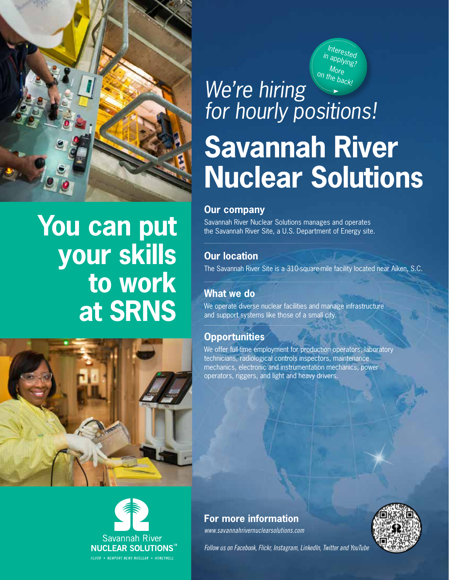

### **You can put your skills to work at SRNS**





Interested applying? More on the back! *We're hiring for hourly positions!*

# **Savannah River Nuclear Solutions**

#### **Our company**

Savannah River Nuclear Solutions manages and operates the Savannah River Site, a U.S. Department of Energy site.

### **Our location**

The Savannah River Site is a 310-square-mile facility located near Aiken, S.C.

### **What we do**

We operate diverse nuclear facilities and manage infrastructure and support systems like those of a small city.

### **Opportunities**

We offer full-time employment for production operators, laboratory technicians, radiological controls inspectors, maintenance mechanics, electronic and instrumentation mechanics, power operators, riggers, and light and heavy drivers.

*www.savannahrivernuclearsolutions.com* **For more information**



*Follow us on Facebook, Flickr, Instagram, LinkedIn, Twitter and YouTube*